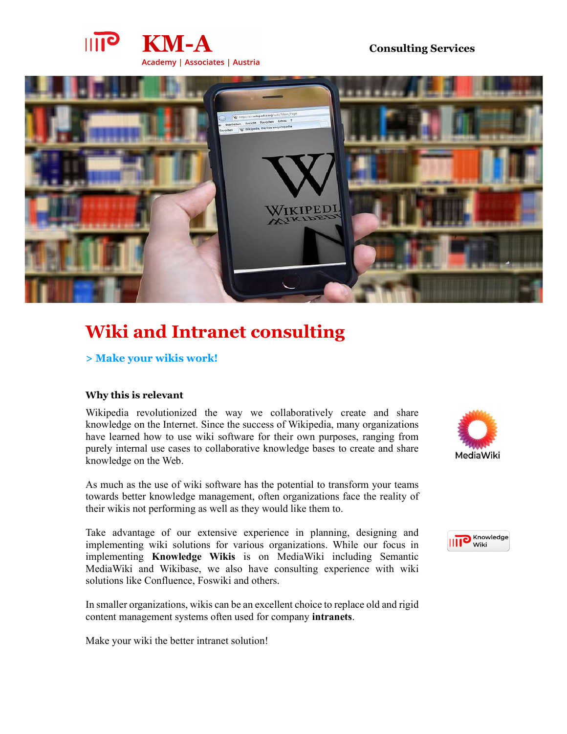

## Consulting Services



# Wiki and Intranet consulting

## > Make your wikis work!

## Why this is relevant

Wikipedia revolutionized the way we collaboratively create and share knowledge on the Internet. Since the success of Wikipedia, many organizations have learned how to use wiki software for their own purposes, ranging from purely internal use cases to collaborative knowledge bases to create and share MediaWiki knowledge on the Web.

As much as the use of wiki software has the potential to transform your teams towards better knowledge management, often organizations face the reality of their wikis not performing as well as they would like them to.

Take advantage of our extensive experience in planning, designing and<br>implementing wiki solutions for various organizations. While our focus in implementing wiki solutions for various organizations. While our focus in implementing Knowledge Wikis is on MediaWiki including Semantic MediaWiki and Wikibase, we also have consulting experience with wiki solutions like Confluence, Foswiki and others.

In smaller organizations, wikis can be an excellent choice to replace old and rigid content management systems often used for company intranets. Make your wiki the better intranet solution!